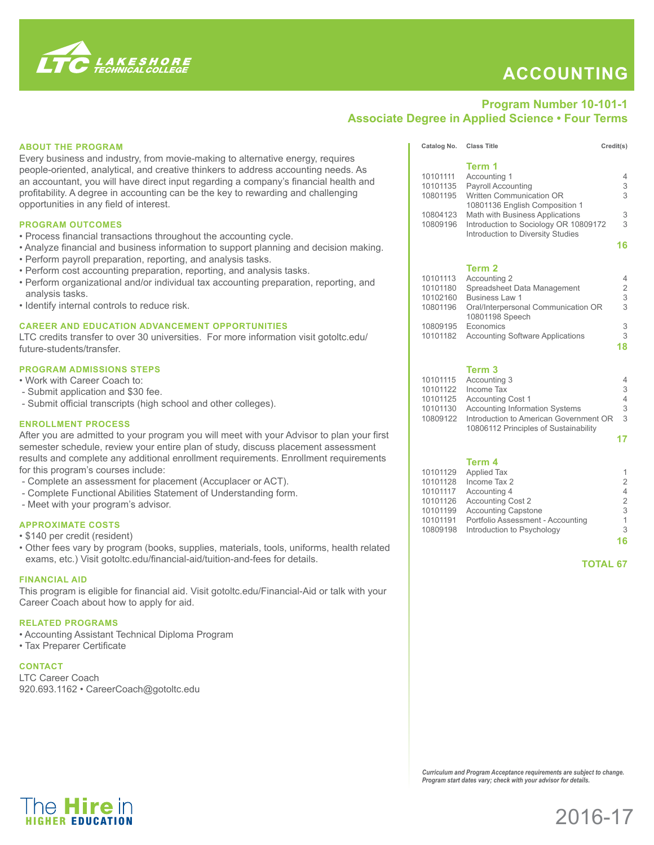

The **Hire** in HIGHER FDUCATION

## **Accounting**

## **Program Number 10-101-1 Associate Degree in Applied Science • Four Terms**

## **About the Program** Every business and industry, from movie-making to alternative energy, requires people-oriented, analytical, and creative thinkers to address accounting needs. As an accountant, you will have direct input regarding a company's financial health and profitability. A degree in accounting can be the key to rewarding and challenging opportunities in any field of interest. **Program Outcomes** • Process financial transactions throughout the accounting cycle. • Analyze financial and business information to support planning and decision making. • Perform payroll preparation, reporting, and analysis tasks. • Perform cost accounting preparation, reporting, and analysis tasks. • Perform organizational and/or individual tax accounting preparation, reporting, and analysis tasks. • Identify internal controls to reduce risk. **Career and Education Advancement Opportunities**  LTC credits transfer to over 30 universities. For more information visit gotoltc.edu/ future-students/transfer. **PROGRAM ADMISSIONS STEPS** • Work with Career Coach to: - Submit application and \$30 fee. - Submit official transcripts (high school and other colleges). **enrollment process** After you are admitted to your program you will meet with your Advisor to plan your first semester schedule, review your entire plan of study, discuss placement assessment results and complete any additional enrollment requirements. Enrollment requirements for this program's courses include: - Complete an assessment for placement (Accuplacer or ACT). - Complete Functional Abilities Statement of Understanding form. - Meet with your program's advisor. **Approximate Costs** • \$140 per credit (resident) • Other fees vary by program (books, supplies, materials, tools, uniforms, health related exams, etc.) Visit gotoltc.edu/financial-aid/tuition-and-fees for details. **financial aid** This program is eligible for financial aid. Visit gotoltc.edu/Financial-Aid or talk with your Career Coach about how to apply for aid. **Related Programs**  • Accounting Assistant Technical Diploma Program • Tax Preparer Certificate **Contact**  LTC Career Coach 920.693.1162 • CareerCoach@gotoltc.edu Catalog No. Class Title Credit(s) **Term 1**<br>10101111 Accountil 10101111 Accounting 1 4 Payroll Accounting 10801195 Written Communication OR 3 10801136 English Composition 1 10804123 Math with Business Applications 3 10809196 Introduction to Sociology OR 10809172 3 Introduction to Diversity Studies **16 Term 2**<br>10101113 Accountir 10101113 Accounting 2 4<br>10101180 Spreadsheet Data Management 2 10101180 Spreadsheet Data Management<br>10102160 Business Law 1 10102160 Business Law 1<br>10801196 Oral/Interpersonal Communication OR 3 Oral/Interpersonal Communication OR 3 10801198 Speech 10809195 Economics<br>10101182 Accounting Software Applications 3 10101182 Accounting Software Applications **18 Term 3** 10101115 Accounting 3 4<br>10101122 Income Tax 3 10101122 Income Tax 3<br>10101125 Accounting Cost 1 4 10101125 Accounting Cost 1 4<br>10101130 Accounting Information Systems 3 Accounting Information Systems 10809122 Introduction to American Government OR 3 10806112 Principles of Sustainability **17 Term 4**<br>10101129 Applied T 10101129 Applied Tax 1<br>10101128 Income Tax 2 2 2 10101128 Income Tax 2 2<br>10101117 Accounting 4 4 4 10101117 Accounting 4 4<br>10101126 Accounting Cost 2 2 10101126 Accounting Cost 2 2<br>10101199 Accounting Capstone 3 10101199 Accounting Capstone<br>10101191 Portfolio Assessment - Accounting 1 10101191 Portfolio Assessment - Accounting 1 10809198 Introduction to Psychology 3 **16 TOTAL 67**

*Curriculum and Program Acceptance requirements are subject to change. Program start dates vary; check with your advisor for details.*